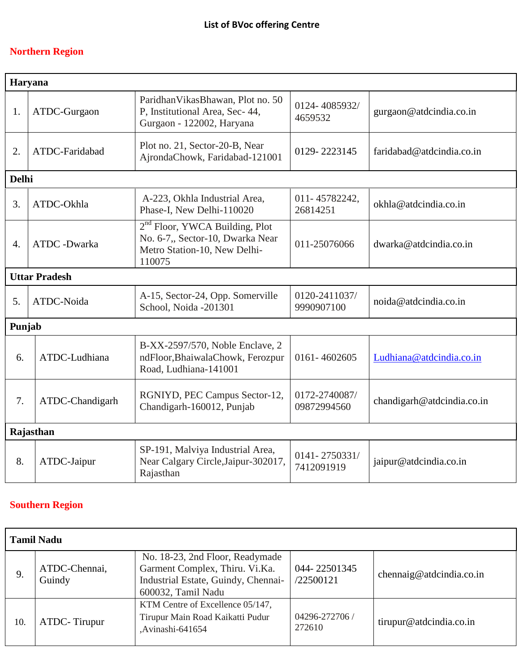## **Northern Region**

| Haryana              |                 |                                                                                                                          |                              |                            |
|----------------------|-----------------|--------------------------------------------------------------------------------------------------------------------------|------------------------------|----------------------------|
| 1.                   | ATDC-Gurgaon    | ParidhanVikasBhawan, Plot no. 50<br>P, Institutional Area, Sec- 44,<br>Gurgaon - 122002, Haryana                         | 0124-4085932/<br>4659532     | gurgaon@atdcindia.co.in    |
| 2.                   | ATDC-Faridabad  | Plot no. 21, Sector-20-B, Near<br>AjrondaChowk, Faridabad-121001                                                         | 0129-2223145                 | faridabad@atdcindia.co.in  |
| <b>Delhi</b>         |                 |                                                                                                                          |                              |                            |
| 3.                   | ATDC-Okhla      | A-223, Okhla Industrial Area,<br>Phase-I, New Delhi-110020                                                               | 011-45782242.<br>26814251    | okhla@atdcindia.co.in      |
| $\overline{4}$ .     | ATDC -Dwarka    | 2 <sup>nd</sup> Floor, YWCA Building, Plot<br>No. 6-7,, Sector-10, Dwarka Near<br>Metro Station-10, New Delhi-<br>110075 | 011-25076066                 | dwarka@atdcindia.co.in     |
| <b>Uttar Pradesh</b> |                 |                                                                                                                          |                              |                            |
| 5.                   | ATDC-Noida      | A-15, Sector-24, Opp. Somerville<br>School, Noida -201301                                                                | 0120-2411037/<br>9990907100  | noida@atdcindia.co.in      |
| Punjab               |                 |                                                                                                                          |                              |                            |
| 6.                   | ATDC-Ludhiana   | B-XX-2597/570, Noble Enclave, 2<br>ndFloor, BhaiwalaChowk, Ferozpur<br>Road, Ludhiana-141001                             | 0161-4602605                 | Ludhiana@atdcindia.co.in   |
| 7.                   | ATDC-Chandigarh | RGNIYD, PEC Campus Sector-12,<br>Chandigarh-160012, Punjab                                                               | 0172-2740087/<br>09872994560 | chandigarh@atdcindia.co.in |
| Rajasthan            |                 |                                                                                                                          |                              |                            |
| 8.                   | ATDC-Jaipur     | SP-191, Malviya Industrial Area,<br>Near Calgary Circle, Jaipur-302017,<br>Rajasthan                                     | 0141-2750331/<br>7412091919  | jaipur@atdcindia.co.in     |

## **Southern Region**

| <b>Tamil Nadu</b> |                         |                                                                                                                                |                           |                          |
|-------------------|-------------------------|--------------------------------------------------------------------------------------------------------------------------------|---------------------------|--------------------------|
| 9.                | ATDC-Chennai,<br>Guindy | No. 18-23, 2nd Floor, Readymade<br>Garment Complex, Thiru. Vi.Ka.<br>Industrial Estate, Guindy, Chennai-<br>600032, Tamil Nadu | 044-22501345<br>/22500121 | chennaig@atdcindia.co.in |
| 10.               | ATDC-Tirupur            | KTM Centre of Excellence 05/147,<br>Tirupur Main Road Kaikatti Pudur<br>,Avinashi-641654                                       | 04296-272706 /<br>272610  | tirupur@atdcindia.co.in  |